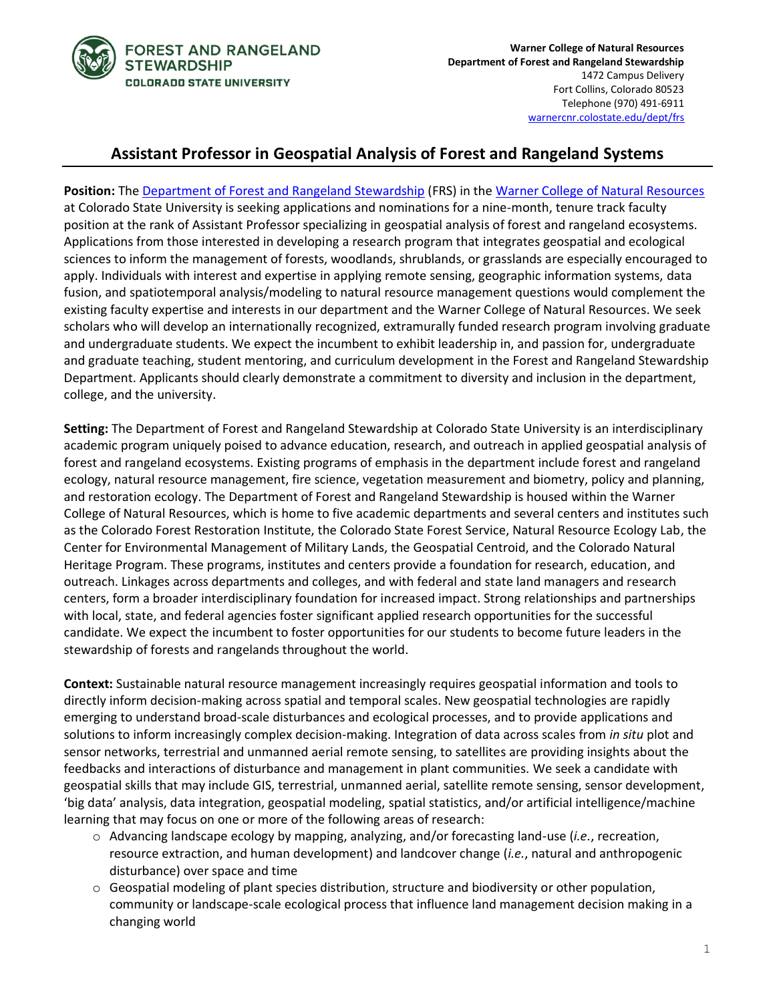

# **Assistant Professor in Geospatial Analysis of Forest and Rangeland Systems**

**Position:** Th[e Department of Forest and Rangeland Stewardship](https://warnercnr.colostate.edu/frs/) (FRS) in th[e Warner College of Natural Resources](https://warnercnr.colostate.edu/) at Colorado State University is seeking applications and nominations for a nine-month, tenure track faculty position at the rank of Assistant Professor specializing in geospatial analysis of forest and rangeland ecosystems. Applications from those interested in developing a research program that integrates geospatial and ecological sciences to inform the management of forests, woodlands, shrublands, or grasslands are especially encouraged to apply. Individuals with interest and expertise in applying remote sensing, geographic information systems, data fusion, and spatiotemporal analysis/modeling to natural resource management questions would complement the existing faculty expertise and interests in our department and the Warner College of Natural Resources. We seek scholars who will develop an internationally recognized, extramurally funded research program involving graduate and undergraduate students. We expect the incumbent to exhibit leadership in, and passion for, undergraduate and graduate teaching, student mentoring, and curriculum development in the Forest and Rangeland Stewardship Department. Applicants should clearly demonstrate a commitment to diversity and inclusion in the department, college, and the university.

**Setting:** The Department of Forest and Rangeland Stewardship at Colorado State University is an interdisciplinary academic program uniquely poised to advance education, research, and outreach in applied geospatial analysis of forest and rangeland ecosystems. Existing programs of emphasis in the department include forest and rangeland ecology, natural resource management, fire science, vegetation measurement and biometry, policy and planning, and restoration ecology. The Department of Forest and Rangeland Stewardship is housed within the Warner College of Natural Resources, which is home to five academic departments and several centers and institutes such as the Colorado Forest Restoration Institute, the Colorado State Forest Service, Natural Resource Ecology Lab, the Center for Environmental Management of Military Lands, the Geospatial Centroid, and the Colorado Natural Heritage Program. These programs, institutes and centers provide a foundation for research, education, and outreach. Linkages across departments and colleges, and with federal and state land managers and research centers, form a broader interdisciplinary foundation for increased impact. Strong relationships and partnerships with local, state, and federal agencies foster significant applied research opportunities for the successful candidate. We expect the incumbent to foster opportunities for our students to become future leaders in the stewardship of forests and rangelands throughout the world.

**Context:** Sustainable natural resource management increasingly requires geospatial information and tools to directly inform decision-making across spatial and temporal scales. New geospatial technologies are rapidly emerging to understand broad-scale disturbances and ecological processes, and to provide applications and solutions to inform increasingly complex decision-making. Integration of data across scales from *in situ* plot and sensor networks, terrestrial and unmanned aerial remote sensing, to satellites are providing insights about the feedbacks and interactions of disturbance and management in plant communities. We seek a candidate with geospatial skills that may include GIS, terrestrial, unmanned aerial, satellite remote sensing, sensor development, 'big data' analysis, data integration, geospatial modeling, spatial statistics, and/or artificial intelligence/machine learning that may focus on one or more of the following areas of research:

- o Advancing landscape ecology by mapping, analyzing, and/or forecasting land-use (*i.e.*, recreation, resource extraction, and human development) and landcover change (*i.e.*, natural and anthropogenic disturbance) over space and time
- $\circ$  Geospatial modeling of plant species distribution, structure and biodiversity or other population, community or landscape-scale ecological process that influence land management decision making in a changing world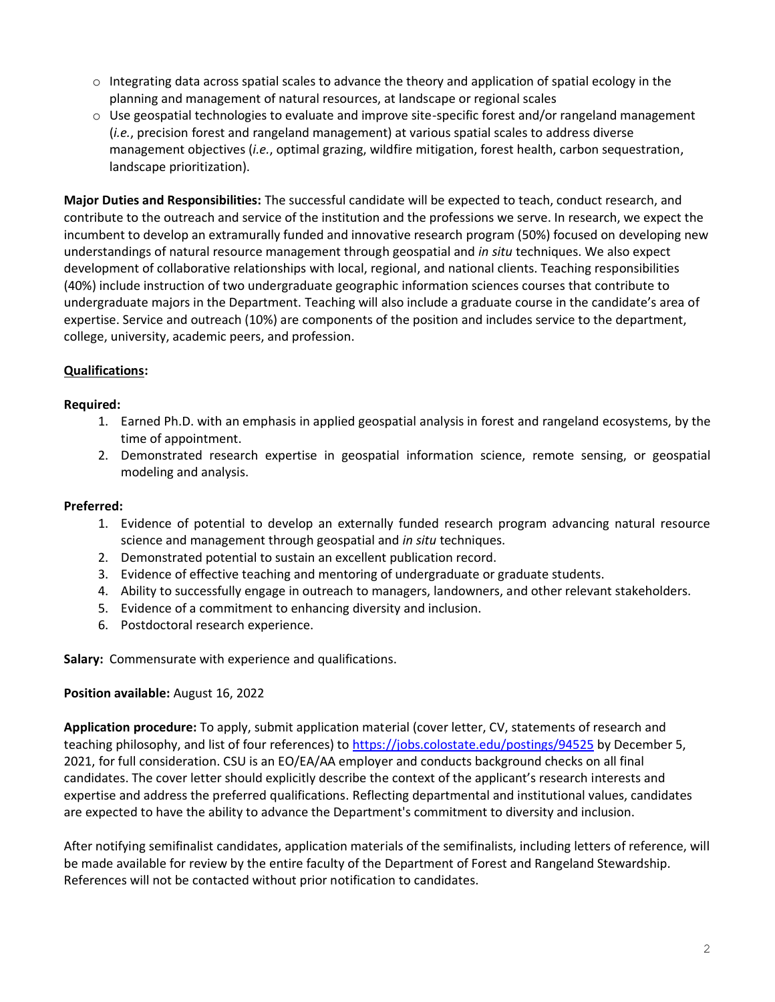- $\circ$  Integrating data across spatial scales to advance the theory and application of spatial ecology in the planning and management of natural resources, at landscape or regional scales
- $\circ$  Use geospatial technologies to evaluate and improve site-specific forest and/or rangeland management (*i.e.*, precision forest and rangeland management) at various spatial scales to address diverse management objectives (*i.e.*, optimal grazing, wildfire mitigation, forest health, carbon sequestration, landscape prioritization).

**Major Duties and Responsibilities:** The successful candidate will be expected to teach, conduct research, and contribute to the outreach and service of the institution and the professions we serve. In research, we expect the incumbent to develop an extramurally funded and innovative research program (50%) focused on developing new understandings of natural resource management through geospatial and *in situ* techniques. We also expect development of collaborative relationships with local, regional, and national clients. Teaching responsibilities (40%) include instruction of two undergraduate geographic information sciences courses that contribute to undergraduate majors in the Department. Teaching will also include a graduate course in the candidate's area of expertise. Service and outreach (10%) are components of the position and includes service to the department, college, university, academic peers, and profession.

## **Qualifications:**

#### **Required:**

- 1. Earned Ph.D. with an emphasis in applied geospatial analysis in forest and rangeland ecosystems, by the time of appointment.
- 2. Demonstrated research expertise in geospatial information science, remote sensing, or geospatial modeling and analysis.

#### **Preferred:**

- 1. Evidence of potential to develop an externally funded research program advancing natural resource science and management through geospatial and *in situ* techniques.
- 2. Demonstrated potential to sustain an excellent publication record.
- 3. Evidence of effective teaching and mentoring of undergraduate or graduate students.
- 4. Ability to successfully engage in outreach to managers, landowners, and other relevant stakeholders.
- 5. Evidence of a commitment to enhancing diversity and inclusion.
- 6. Postdoctoral research experience.

**Salary:** Commensurate with experience and qualifications.

#### **Position available:** August 16, 2022

**Application procedure:** To apply, submit application material (cover letter, CV, statements of research and teaching philosophy, and list of four references) to<https://jobs.colostate.edu/postings/94525> by December 5, 2021, for full consideration. CSU is an EO/EA/AA employer and conducts background checks on all final candidates. The cover letter should explicitly describe the context of the applicant's research interests and expertise and address the preferred qualifications. Reflecting departmental and institutional values, candidates are expected to have the ability to advance the Department's commitment to diversity and inclusion.

After notifying semifinalist candidates, application materials of the semifinalists, including letters of reference, will be made available for review by the entire faculty of the Department of Forest and Rangeland Stewardship. References will not be contacted without prior notification to candidates.